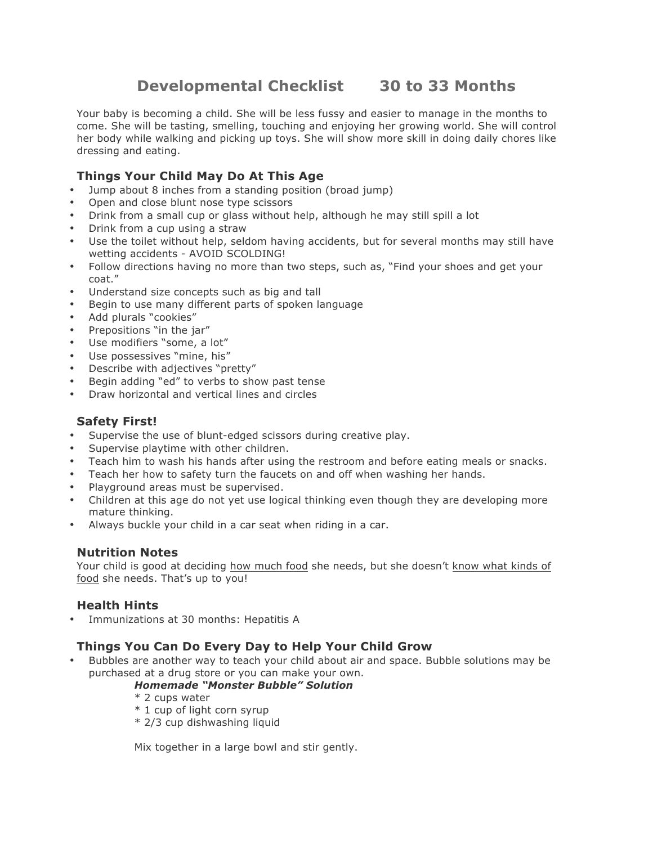# **Developmental Checklist 30 to 33 Months**

Your baby is becoming a child. She will be less fussy and easier to manage in the months to come. She will be tasting, smelling, touching and enjoying her growing world. She will control her body while walking and picking up toys. She will show more skill in doing daily chores like dressing and eating.

## **Things Your Child May Do At This Age**

- Jump about 8 inches from a standing position (broad jump)
- Open and close blunt nose type scissors
- Drink from a small cup or glass without help, although he may still spill a lot
- Drink from a cup using a straw
- Use the toilet without help, seldom having accidents, but for several months may still have wetting accidents - AVOID SCOLDING!
- Follow directions having no more than two steps, such as, "Find your shoes and get your coat."
- Understand size concepts such as big and tall
- Begin to use many different parts of spoken language
- Add plurals "cookies"
- Prepositions "in the jar"
- Use modifiers "some, a lot"
- Use possessives "mine, his"
- Describe with adjectives "pretty"
- Begin adding "ed" to verbs to show past tense
- Draw horizontal and vertical lines and circles

### **Safety First!**

- Supervise the use of blunt-edged scissors during creative play.
- Supervise playtime with other children.
- Teach him to wash his hands after using the restroom and before eating meals or snacks.
- Teach her how to safety turn the faucets on and off when washing her hands.
- Playground areas must be supervised.
- Children at this age do not yet use logical thinking even though they are developing more mature thinking.
- Always buckle your child in a car seat when riding in a car.

#### **Nutrition Notes**

Your child is good at deciding how much food she needs, but she doesn't know what kinds of food she needs. That's up to you!

#### **Health Hints**

• Immunizations at 30 months: Hepatitis A

#### **Things You Can Do Every Day to Help Your Child Grow**

• Bubbles are another way to teach your child about air and space. Bubble solutions may be purchased at a drug store or you can make your own.

#### *Homemade "Monster Bubble" Solution*

- \* 2 cups water
- \* 1 cup of light corn syrup
- \* 2/3 cup dishwashing liquid

Mix together in a large bowl and stir gently.